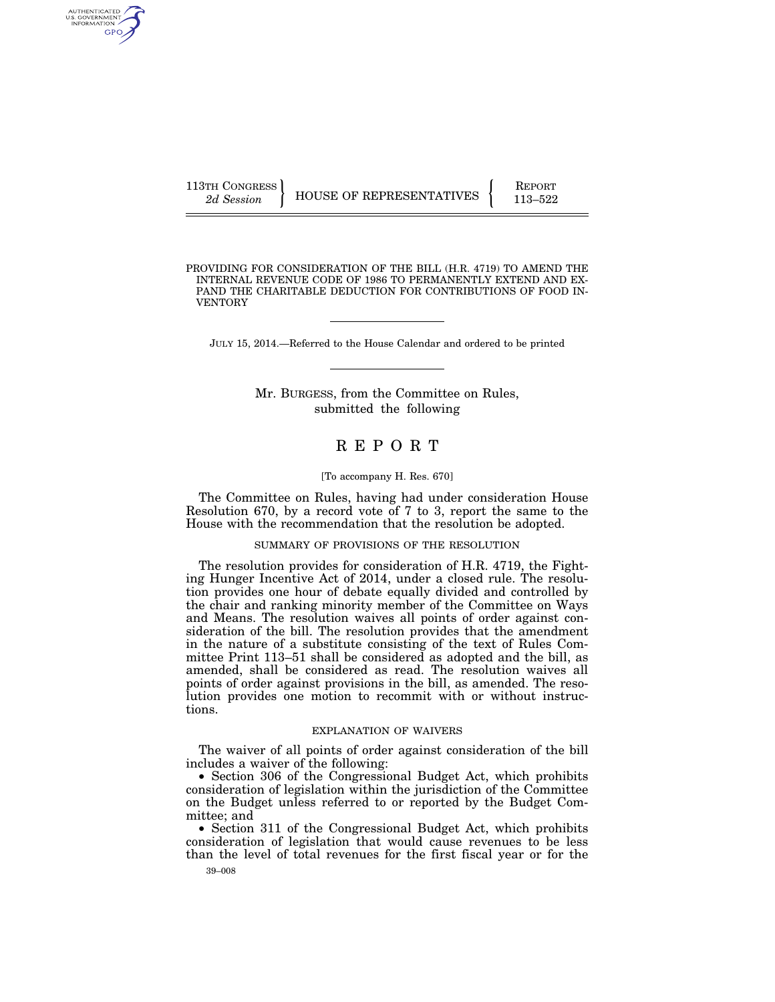AUTHENTICATED U.S. GOVERNMENT **GPO** 

VENTORY

113TH CONGRESS **REPORT 113TH CONGRESS** HOUSE OF REPRESENTATIVES  $\begin{cases} \text{REPORT} \\ 113-522 \end{cases}$ 

PROVIDING FOR CONSIDERATION OF THE BILL (H.R. 4719) TO AMEND THE INTERNAL REVENUE CODE OF 1986 TO PERMANENTLY EXTEND AND EX-PAND THE CHARITABLE DEDUCTION FOR CONTRIBUTIONS OF FOOD IN-

JULY 15, 2014.—Referred to the House Calendar and ordered to be printed

Mr. BURGESS, from the Committee on Rules, submitted the following

# R E P O R T

#### [To accompany H. Res. 670]

The Committee on Rules, having had under consideration House Resolution 670, by a record vote of 7 to 3, report the same to the House with the recommendation that the resolution be adopted.

### SUMMARY OF PROVISIONS OF THE RESOLUTION

The resolution provides for consideration of H.R. 4719, the Fighting Hunger Incentive Act of 2014, under a closed rule. The resolution provides one hour of debate equally divided and controlled by the chair and ranking minority member of the Committee on Ways and Means. The resolution waives all points of order against consideration of the bill. The resolution provides that the amendment in the nature of a substitute consisting of the text of Rules Committee Print 113–51 shall be considered as adopted and the bill, as amended, shall be considered as read. The resolution waives all points of order against provisions in the bill, as amended. The resolution provides one motion to recommit with or without instructions.

#### EXPLANATION OF WAIVERS

The waiver of all points of order against consideration of the bill includes a waiver of the following:

• Section 306 of the Congressional Budget Act, which prohibits consideration of legislation within the jurisdiction of the Committee on the Budget unless referred to or reported by the Budget Committee; and

• Section 311 of the Congressional Budget Act, which prohibits consideration of legislation that would cause revenues to be less than the level of total revenues for the first fiscal year or for the

39–008